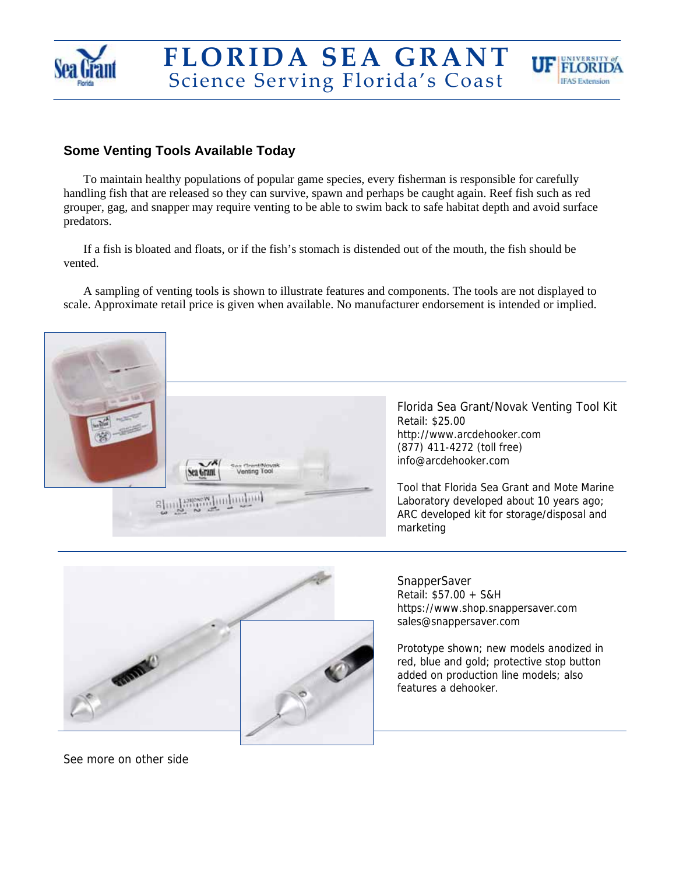



## **Some Venting Tools Available Today**

To maintain healthy populations of popular game species, every fisherman is responsible for carefully handling fish that are released so they can survive, spawn and perhaps be caught again. Reef fish such as red grouper, gag, and snapper may require venting to be able to swim back to safe habitat depth and avoid surface predators.

If a fish is bloated and floats, or if the fish's stomach is distended out of the mouth, the fish should be vented.

A sampling of venting tools is shown to illustrate features and components. The tools are not displayed to scale. Approximate retail price is given when available. No manufacturer endorsement is intended or implied.





**SnapperSaver** Retail: \$57.00 + S&H https://www.shop.snappersaver.com sales@snappersaver.com

Prototype shown; new models anodized in red, blue and gold; protective stop button added on production line models; also features a dehooker.

See more on other side